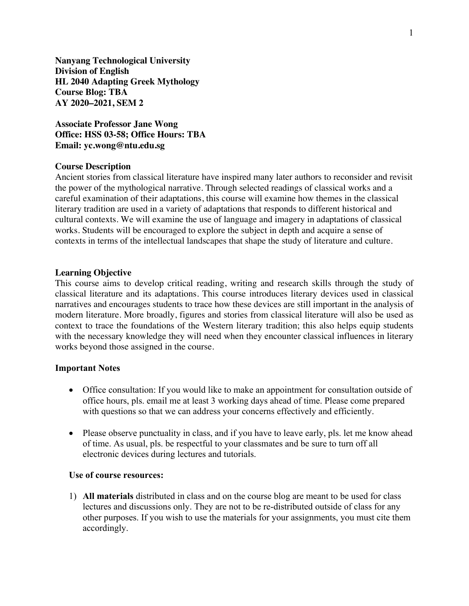**Nanyang Technological University Division of English HL 2040 Adapting Greek Mythology Course Blog: TBA AY 2020–2021, SEM 2**

**Associate Professor Jane Wong Office: HSS 03-58; Office Hours: TBA Email: yc.wong@ntu.edu.sg**

#### **Course Description**

Ancient stories from classical literature have inspired many later authors to reconsider and revisit the power of the mythological narrative. Through selected readings of classical works and a careful examination of their adaptations, this course will examine how themes in the classical literary tradition are used in a variety of adaptations that responds to different historical and cultural contexts. We will examine the use of language and imagery in adaptations of classical works. Students will be encouraged to explore the subject in depth and acquire a sense of contexts in terms of the intellectual landscapes that shape the study of literature and culture.

#### **Learning Objective**

This course aims to develop critical reading, writing and research skills through the study of classical literature and its adaptations. This course introduces literary devices used in classical narratives and encourages students to trace how these devices are still important in the analysis of modern literature. More broadly, figures and stories from classical literature will also be used as context to trace the foundations of the Western literary tradition; this also helps equip students with the necessary knowledge they will need when they encounter classical influences in literary works beyond those assigned in the course.

### **Important Notes**

- Office consultation: If you would like to make an appointment for consultation outside of office hours, pls. email me at least 3 working days ahead of time. Please come prepared with questions so that we can address your concerns effectively and efficiently.
- Please observe punctuality in class, and if you have to leave early, pls. let me know ahead of time. As usual, pls. be respectful to your classmates and be sure to turn off all electronic devices during lectures and tutorials.

# **Use of course resources:**

1) **All materials** distributed in class and on the course blog are meant to be used for class lectures and discussions only. They are not to be re-distributed outside of class for any other purposes. If you wish to use the materials for your assignments, you must cite them accordingly.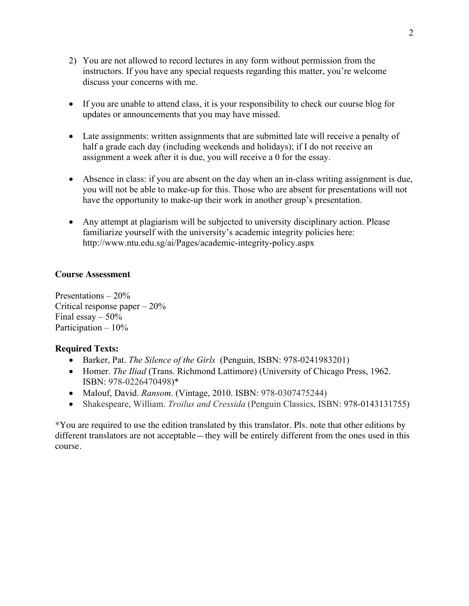- 2) You are not allowed to record lectures in any form without permission from the instructors. If you have any special requests regarding this matter, you're welcome discuss your concerns with me.
- If you are unable to attend class, it is your responsibility to check our course blog for updates or announcements that you may have missed.
- Late assignments: written assignments that are submitted late will receive a penalty of half a grade each day (including weekends and holidays); if I do not receive an assignment a week after it is due, you will receive a 0 for the essay.
- Absence in class: if you are absent on the day when an in-class writing assignment is due, you will not be able to make-up for this. Those who are absent for presentations will not have the opportunity to make-up their work in another group's presentation.
- Any attempt at plagiarism will be subjected to university disciplinary action. Please familiarize yourself with the university's academic integrity policies here: http://www.ntu.edu.sg/ai/Pages/academic-integrity-policy.aspx

# **Course Assessment**

Presentations – 20% Critical response paper – 20% Final essay  $-50\%$ Participation – 10%

## **Required Texts:**

- Barker, Pat. *The Silence of the Girls* (Penguin, ISBN: 978-0241983201)
- Homer. *The Iliad* (Trans. Richmond Lattimore) (University of Chicago Press, 1962. ISBN: 978-0226470498)\*
- Malouf, David. *Ransom*. (Vintage, 2010. ISBN: 978-0307475244)
- Shakespeare, William. *Troilus and Cressida* (Penguin Classics, ISBN: 978-0143131755)

\*You are required to use the edition translated by this translator. Pls. note that other editions by different translators are not acceptable—they will be entirely different from the ones used in this course.